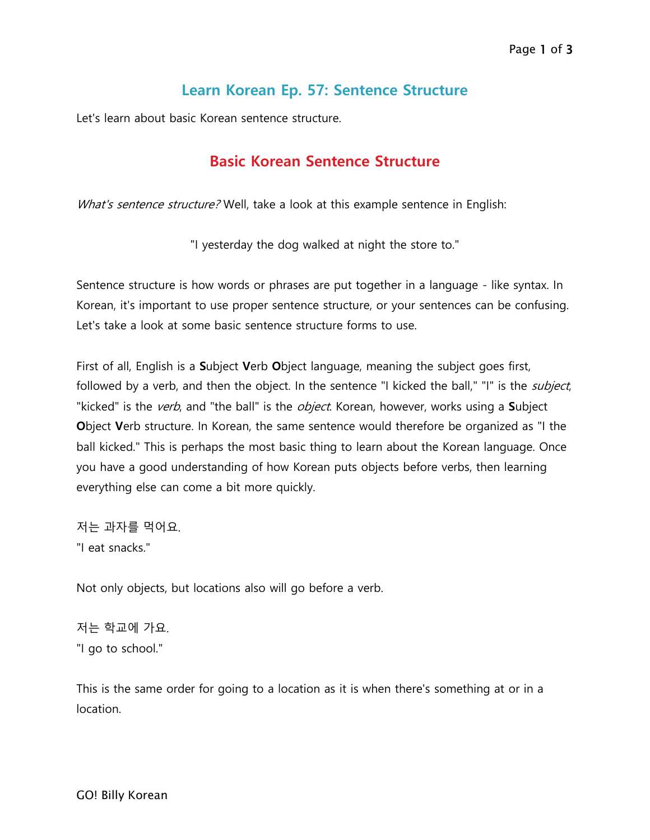## **Learn Korean Ep. 57: Sentence Structure**

Let's learn about basic Korean sentence structure.

## **Basic Korean Sentence Structure**

What's sentence structure? Well, take a look at this example sentence in English:

"I yesterday the dog walked at night the store to."

Sentence structure is how words or phrases are put together in a language - like syntax. In Korean, it's important to use proper sentence structure, or your sentences can be confusing. Let's take a look at some basic sentence structure forms to use.

First of all, English is a **S**ubject **V**erb **O**bject language, meaning the subject goes first, followed by a verb, and then the object. In the sentence "I kicked the ball," "I" is the *subject*, "kicked" is the *verb*, and "the ball" is the *object*. Korean, however, works using a **S**ubject **O**bject **V**erb structure. In Korean, the same sentence would therefore be organized as "I the ball kicked." This is perhaps the most basic thing to learn about the Korean language. Once you have a good understanding of how Korean puts objects before verbs, then learning everything else can come a bit more quickly.

저는 과자를 먹어요. "I eat snacks."

Not only objects, but locations also will go before a verb.

저는 학교에 가요. "I go to school."

This is the same order for going to a location as it is when there's something at or in a location.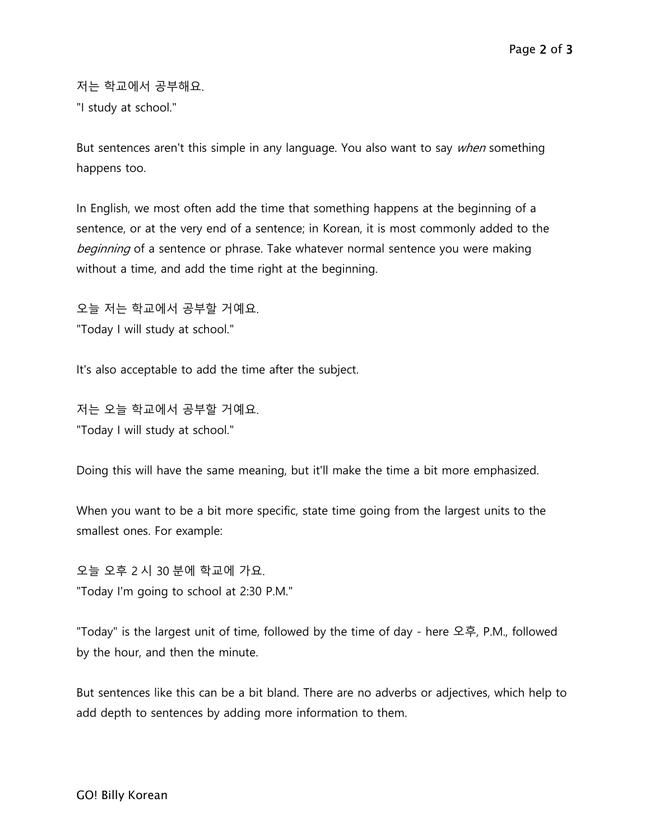저는 학교에서 공부해요. "I study at school."

But sentences aren't this simple in any language. You also want to say when something happens too.

In English, we most often add the time that something happens at the beginning of a sentence, or at the very end of a sentence; in Korean, it is most commonly added to the beginning of a sentence or phrase. Take whatever normal sentence you were making without a time, and add the time right at the beginning.

오늘 저는 학교에서 공부할 거예요. "Today I will study at school."

It's also acceptable to add the time after the subject.

저는 오늘 학교에서 공부할 거예요. "Today I will study at school."

Doing this will have the same meaning, but it'll make the time a bit more emphasized.

When you want to be a bit more specific, state time going from the largest units to the smallest ones. For example:

오늘 오후 2 시 30 분에 학교에 가요. "Today I'm going to school at 2:30 P.M."

"Today" is the largest unit of time, followed by the time of day - here 오후, P.M., followed by the hour, and then the minute.

But sentences like this can be a bit bland. There are no adverbs or adjectives, which help to add depth to sentences by adding more information to them.